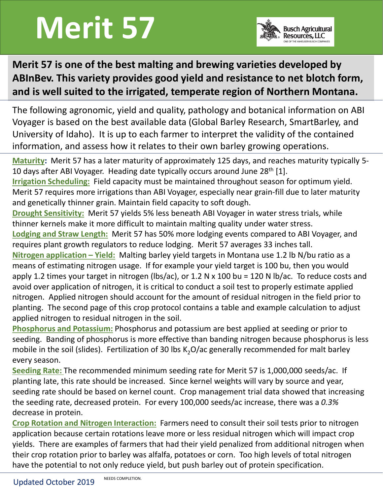## Merit 57



## Merit 57 is one of the best malting and brewing varieties developed by ABInBev. This variety provides good yield and resistance to net blotch form, and is well suited to the irrigated, temperate region of Northern Montana.

The following agronomic, yield and quality, pathology and botanical information on ABI Voyager is based on the best available data (Global Barley Research, SmartBarley, and University of Idaho). It is up to each farmer to interpret the validity of the contained **information, and assess how it relates to their owner and line of the barreline of the best malting and brewing varieties developed by ABInBev. This variety provides good yield and resistance to net blotch form, and is w Maturity:** This variety provides good yield and resistance to net blotch form,<br>and is well suited to the irrigated, temperate region of Northern Montana.<br>The following agronomic, yield and quality, pathology and botanica

10 days after ABI Voyager. Heading date typically occurs around June 28<sup>th</sup> [1].

Irrigation Scheduling: Field capacity must be maintained throughout season for optimum yield. Merit 57 requires more irrigations than ABI Voyager, especially near grain-fill due to later maturity and genetically thinner grain. Maintain field capacity to soft dough.

Drought Sensitivity: Merit 57 yields 5% less beneath ABI Voyager in water stress trials, while thinner kernels make it more difficult to maintain malting quality under water stress.

Lodging and Straw Length: Merit 57 has 50% more lodging events compared to ABI Voyager, and requires plant growth regulators to reduce lodging. Merit 57 averages 33 inches tall.

The following agronomic, yield and quality, pathology and botanical information on ABI<br>Voyager is based on the best available data (Global Barley Research, SmartBarley, and<br>University of Idaho). It is up to each farmer to means of estimating nitrogen usage. If for example your yield target is 100 bu, then you would Voyager is based on the best available data (Global Barley Research, SmartBarley, and<br>University of Idaho). It is up to each farmer to interpret the validity of the contained<br>information, and assess how it relates to their avoid over application of nitrogen, it is critical to conduct a soil test to properly estimate applied information, and assess how it relates to their own barley growing operations.<br>
<u>Maturity</u>: Merit 57 has a later maturity of approximately 125 days, and reaches maturity typically 5-10 days after ABI Voyager. Heading date planting. The second page of this crop protocol contains a table and example calculation to adjust applied nitrogen to residual nitrogen in the soil. were 37 requires move migrators warrivant woyage, espectany freat grant-min due to atter inaturity<br>and genetically thinner grain. Maintain field capacity to soft dough.<br>**Drought Sensitivity:** Merit 57 yields 5% less beneat

Phosphorus and Potassium: Phosphorus and potassium are best applied at seeding or prior to seeding. Banding of phosphorus is more effective than banding nitrogen because phosphorus is less every season.

Seeding Rate: The recommended minimum seeding rate for Merit 57 is 1,000,000 seeds/ac. If planting late, this rate should be increased. Since kernel weights will vary by source and year, seeding rate should be based on kernel count. Crop management trial data showed that increasing the seeding rate, decreased protein. For every 100,000 seeds/ac increase, there was a 0.3% decrease in protein.

Crop Rotation and Nitrogen Interaction: Farmers need to consult their soil tests prior to nitrogen appyr 1.2 antes your carget mintenger interaction: the property estimate applied introgen. Applied nitrogen, it is critical to conduct a soil test to properly estimate applied introgen. Applied introgen should account for yields. There are examples of farmers that had their yield penalized from additional nitrogen when their crop rotation prior to barley was alfalfa, potatoes or corn. Too high levels of total nitrogen panning. The second page of this trop protoconcolleants a table and example calculation to adjust<br>applied nitrogen to residual nitrogen in the soil.<br>**Phosphorus and Potassium:** Phosphorus and potassium are best applied at